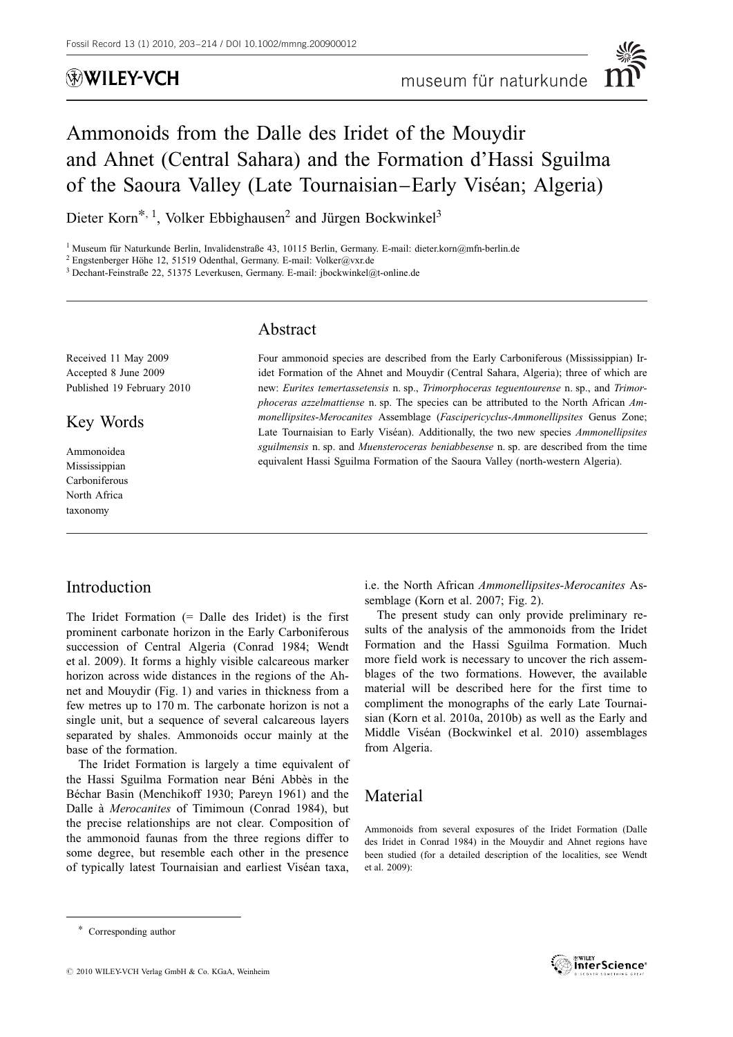## WILEY-VCH

# Ammonoids from the Dalle des Iridet of the Mouydir and Ahnet (Central Sahara) and the Formation d'Hassi Sguilma of the Saoura Valley (Late Tournaisian–Early Viséan; Algeria)

Dieter Korn\*, <sup>1</sup>, Volker Ebbighausen<sup>2</sup> and Jürgen Bockwinkel<sup>3</sup>

<sup>1</sup> Museum für Naturkunde Berlin, Invalidenstraße 43, 10115 Berlin, Germany. E-mail: dieter.korn@mfn-berlin.de

 $^2$  Engstenberger Höhe 12, 51519 Odenthal, Germany. E-mail: Volker@vxr.de

<sup>3</sup> Dechant-Feinstraße 22, 51375 Leverkusen, Germany. E-mail: jbockwinkel@t-online.de

### Abstract

Received 11 May 2009 Accepted 8 June 2009 Published 19 February 2010

Key Words

Ammonoidea Mississippian Carboniferous North Africa taxonomy

Four ammonoid species are described from the Early Carboniferous (Mississippian) Iridet Formation of the Ahnet and Mouydir (Central Sahara, Algeria); three of which are new: Eurites temertassetensis n. sp., Trimorphoceras teguentourense n. sp., and Trimorphoceras azzelmattiense n. sp. The species can be attributed to the North African Ammonellipsites-Merocanites Assemblage (Fascipericyclus-Ammonellipsites Genus Zone; Late Tournaisian to Early Viséan). Additionally, the two new species Ammonellipsites sguilmensis n. sp. and Muensteroceras beniabbesense n. sp. are described from the time equivalent Hassi Sguilma Formation of the Saoura Valley (north-western Algeria).

### Introduction

The Iridet Formation (= Dalle des Iridet) is the first prominent carbonate horizon in the Early Carboniferous succession of Central Algeria (Conrad 1984; Wendt et al. 2009). It forms a highly visible calcareous marker horizon across wide distances in the regions of the Ahnet and Mouydir (Fig. 1) and varies in thickness from a few metres up to 170 m. The carbonate horizon is not a single unit, but a sequence of several calcareous layers separated by shales. Ammonoids occur mainly at the base of the formation.

The Iridet Formation is largely a time equivalent of the Hassi Sguilma Formation near Béni Abbès in the Béchar Basin (Menchikoff 1930; Pareyn 1961) and the Dalle à *Merocanites* of Timimoun (Conrad 1984), but the precise relationships are not clear. Composition of the ammonoid faunas from the three regions differ to some degree, but resemble each other in the presence of typically latest Tournaisian and earliest Viséan taxa,

i.e. the North African Ammonellipsites-Merocanites Assemblage (Korn et al. 2007; Fig. 2).

The present study can only provide preliminary results of the analysis of the ammonoids from the Iridet Formation and the Hassi Sguilma Formation. Much more field work is necessary to uncover the rich assemblages of the two formations. However, the available material will be described here for the first time to compliment the monographs of the early Late Tournaisian (Korn et al. 2010a, 2010b) as well as the Early and Middle Viséan (Bockwinkel et al. 2010) assemblages from Algeria.

### Material

Ammonoids from several exposures of the Iridet Formation (Dalle des Iridet in Conrad 1984) in the Mouydir and Ahnet regions have been studied (for a detailed description of the localities, see Wendt et al. 2009):



<sup>\*</sup> Corresponding author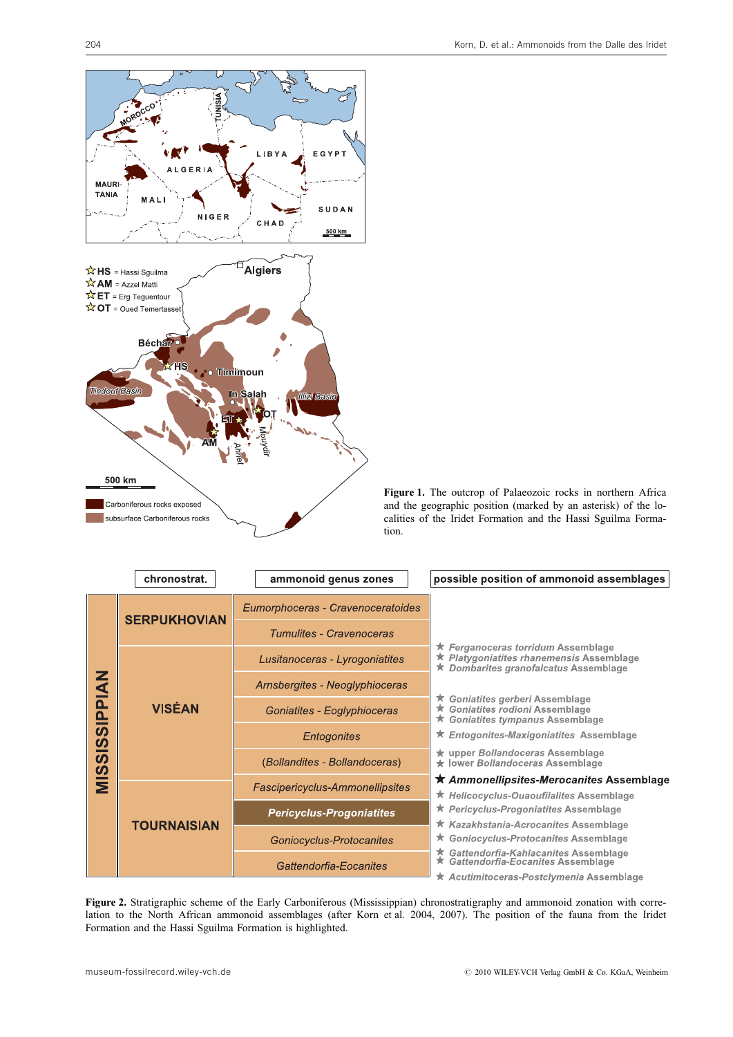

Figure 1. The outcrop of Palaeozoic rocks in northern Africa and the geographic position (marked by an asterisk) of the localities of the Iridet Formation and the Hassi Sguilma Formation.

| chronostrat.                         | ammonoid genus zones                   | possible position of ammonoid assemblages                                                                                        |
|--------------------------------------|----------------------------------------|----------------------------------------------------------------------------------------------------------------------------------|
|                                      | Eumorphoceras - Cravenoceratoides      |                                                                                                                                  |
|                                      | Tumulites - Cravenoceras               |                                                                                                                                  |
|                                      | Lusitanoceras - Lyrogoniatites         | ★ Ferganoceras torridum Assemblage<br><b>★ Platygoniatites rhanemensis Assemblage</b><br>Dombarites granofalcatus Assemblage     |
| SIPPIAN<br><b>VISÉAN</b><br><u>ທ</u> | Arnsbergites - Neoglyphioceras         |                                                                                                                                  |
|                                      | Goniatites - Eoglyphioceras            | ★ Goniatites gerberi Assemblage<br>★ Goniatites rodioni Assemblage<br>★ Goniatites tympanus Assemblage                           |
|                                      | Entogonites                            | ★ Entogonites-Maxigoniatites Assemblage                                                                                          |
|                                      | (Bollandites - Bollandoceras)          | ★ upper Bollandoceras Assemblage<br>★ lower Bollandoceras Assemblage                                                             |
|                                      | <b>Fascipericyclus-Ammonellipsites</b> | ★ Ammonellipsites-Merocanites Assemblage<br>★ Helicocyclus-Ouaoufilalites Assemblage                                             |
|                                      | <b>Pericyclus-Progoniatites</b>        | ★ Pericyclus-Progoniatites Assemblage                                                                                            |
| <b>TOURNAISIAN</b>                   |                                        | ★ Kazakhstania-Acrocanites Assemblage<br>★ Goniocyclus-Protocanites Assemblage                                                   |
|                                      |                                        |                                                                                                                                  |
|                                      | Gattendorfia-Eocanites                 | ★ Gattendorfia-Kahlacanites Assemblage<br>★ Gattendorfia-Eocanites Assemblage<br><b>★ Acutimitoceras-Postclymenia Assemblage</b> |
|                                      | <b>SERPUKHOVIAN</b>                    | Goniocyclus-Protocanites                                                                                                         |

Figure 2. Stratigraphic scheme of the Early Carboniferous (Mississippian) chronostratigraphy and ammonoid zonation with correlation to the North African ammonoid assemblages (after Korn et al. 2004, 2007). The position of the fauna from the Iridet Formation and the Hassi Sguilma Formation is highlighted.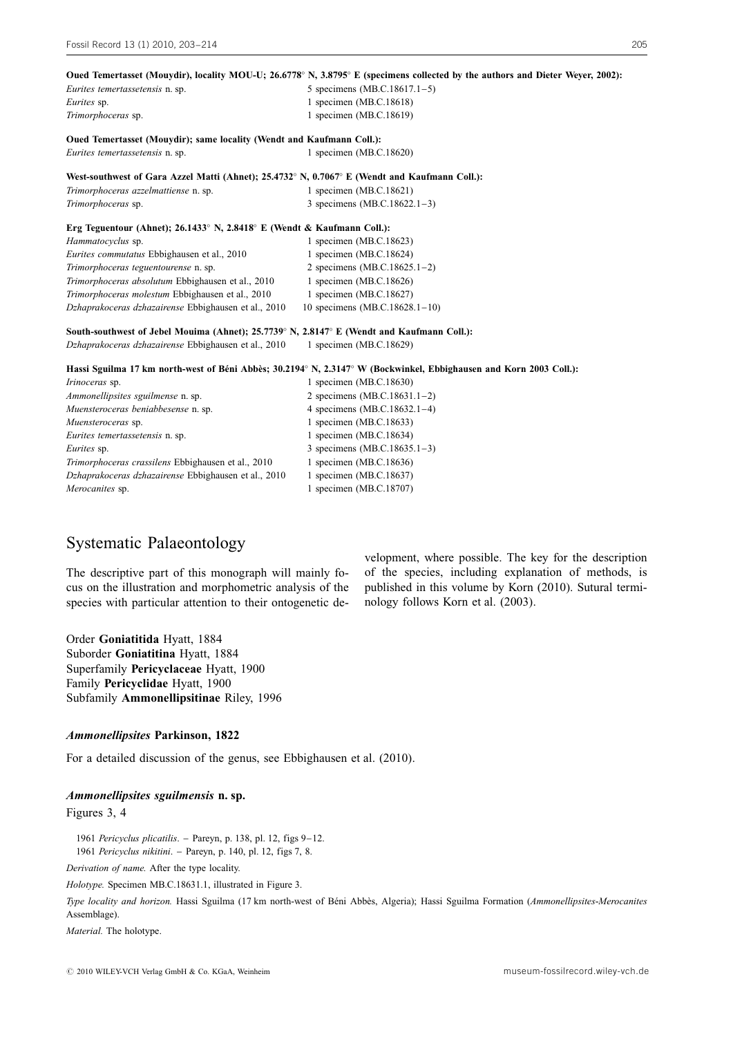|                                                                                               | Oued Temertasset (Mouydir), locality MOU-U; 26.6778° N, 3.8795° E (specimens collected by the authors and Dieter Weyer, 2002): |
|-----------------------------------------------------------------------------------------------|--------------------------------------------------------------------------------------------------------------------------------|
| Eurites temertassetensis n. sp.                                                               | 5 specimens (MB.C.18617.1-5)                                                                                                   |
| Eurites sp.                                                                                   | 1 specimen (MB.C.18618)                                                                                                        |
| Trimorphoceras sp.                                                                            | 1 specimen (MB.C.18619)                                                                                                        |
| Oued Temertasset (Mouydir); same locality (Wendt and Kaufmann Coll.):                         |                                                                                                                                |
| Eurites temertassetensis n. sp.                                                               | 1 specimen (MB.C.18620)                                                                                                        |
| West-southwest of Gara Azzel Matti (Ahnet); 25.4732° N, 0.7067° E (Wendt and Kaufmann Coll.): |                                                                                                                                |
| Trimorphoceras azzelmattiense n. sp.                                                          | 1 specimen (MB.C.18621)                                                                                                        |
| Trimorphoceras sp.                                                                            | 3 specimens (MB.C.18622.1-3)                                                                                                   |
| Erg Teguentour (Ahnet); 26.1433° N, 2.8418° E (Wendt & Kaufmann Coll.):                       |                                                                                                                                |
| Hammatocyclus sp.                                                                             | 1 specimen (MB.C.18623)                                                                                                        |
| Eurites commutatus Ebbighausen et al., 2010                                                   | 1 specimen (MB.C.18624)                                                                                                        |
| Trimorphoceras teguentourense n. sp.                                                          | 2 specimens (MB.C.18625.1-2)                                                                                                   |
| Trimorphoceras absolutum Ebbighausen et al., 2010                                             | 1 specimen (MB.C.18626)                                                                                                        |
| Trimorphoceras molestum Ebbighausen et al., 2010                                              | 1 specimen (MB.C.18627)                                                                                                        |
| Dzhaprakoceras dzhazairense Ebbighausen et al., 2010                                          | 10 specimens (MB.C.18628.1-10)                                                                                                 |
| South-southwest of Jebel Mouima (Ahnet); 25.7739° N, 2.8147° E (Wendt and Kaufmann Coll.):    |                                                                                                                                |
| Dzhaprakoceras dzhazairense Ebbighausen et al., 2010                                          | 1 specimen (MB.C.18629)                                                                                                        |
|                                                                                               | Hassi Sguilma 17 km north-west of Béni Abbès; 30.2194° N, 2.3147° W (Bockwinkel, Ebbighausen and Korn 2003 Coll.):             |
| Irinoceras sp.                                                                                | 1 specimen (MB.C.18630)                                                                                                        |
| Ammonellipsites sguilmense n. sp.                                                             | 2 specimens (MB.C.18631.1-2)                                                                                                   |
| Muensteroceras beniabbesense n. sp.                                                           | 4 specimens (MB.C.18632.1-4)                                                                                                   |
| Muensteroceras sp.                                                                            | 1 specimen (MB.C.18633)                                                                                                        |
| Eurites temertassetensis n. sp.                                                               | 1 specimen (MB.C.18634)                                                                                                        |
| Eurites sp.                                                                                   | 3 specimens (MB.C.18635.1-3)                                                                                                   |
| Trimorphoceras crassilens Ebbighausen et al., 2010                                            | 1 specimen (MB.C.18636)                                                                                                        |
| Dzhaprakoceras dzhazairense Ebbighausen et al., 2010                                          | 1 specimen (MB.C.18637)                                                                                                        |
| Merocanites sp.                                                                               | 1 specimen (MB.C.18707)                                                                                                        |
|                                                                                               |                                                                                                                                |

### Systematic Palaeontology

The descriptive part of this monograph will mainly focus on the illustration and morphometric analysis of the species with particular attention to their ontogenetic development, where possible. The key for the description of the species, including explanation of methods, is published in this volume by Korn (2010). Sutural terminology follows Korn et al. (2003).

Order Goniatitida Hyatt, 1884 Suborder Goniatitina Hyatt, 1884 Superfamily Pericyclaceae Hyatt, 1900 Family Pericyclidae Hyatt, 1900 Subfamily Ammonellipsitinae Riley, 1996

#### Ammonellipsites Parkinson, 1822

For a detailed discussion of the genus, see Ebbighausen et al. (2010).

#### Ammonellipsites sguilmensis n. sp.

Figures 3, 4

1961 Pericyclus plicatilis. – Pareyn, p. 138, pl. 12, figs 9–12. 1961 Pericyclus nikitini. – Pareyn, p. 140, pl. 12, figs 7, 8.

Derivation of name. After the type locality.

Holotype. Specimen MB.C.18631.1, illustrated in Figure 3.

Type locality and horizon. Hassi Sguilma (17 km north-west of Béni Abbès, Algeria); Hassi Sguilma Formation (Ammonellipsites-Merocanites Assemblage).

Material. The holotype.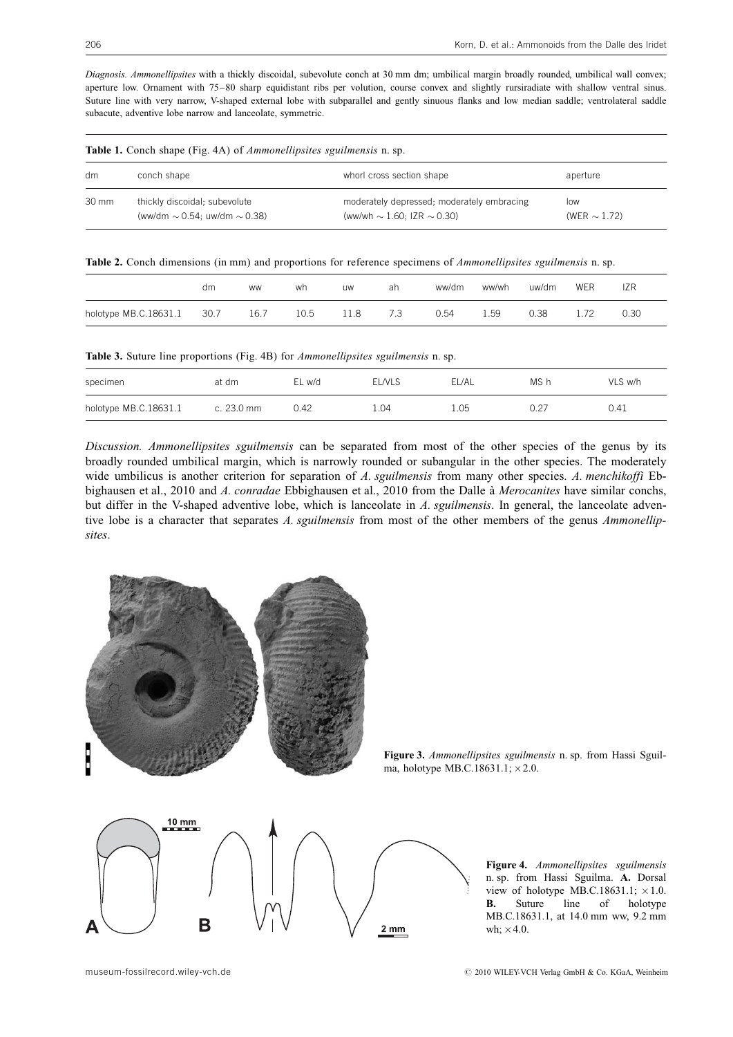Diagnosis. Ammonellipsites with a thickly discoidal, subevolute conch at 30 mm dm; umbilical margin broadly rounded, umbilical wall convex; aperture low. Ornament with 75–80 sharp equidistant ribs per volution, course convex and slightly rursiradiate with shallow ventral sinus. Suture line with very narrow, V-shaped external lobe with subparallel and gently sinuous flanks and low median saddle; ventrolateral saddle subacute, adventive lobe narrow and lanceolate, symmetric.

|       | <b>Table 1.</b> Concil shape (Fig. 4A) of <i>Ammonetupsites</i> sgutmensis it. sp. |                                                                                    |                          |  |  |  |  |  |  |
|-------|------------------------------------------------------------------------------------|------------------------------------------------------------------------------------|--------------------------|--|--|--|--|--|--|
| dm    | conch shape                                                                        | whorl cross section shape                                                          | aperture                 |  |  |  |  |  |  |
| 30 mm | thickly discoidal; subevolute<br>(ww/dm $\sim$ 0.54: uw/dm $\sim$ 0.38)            | moderately depressed; moderately embracing<br>(ww/wh $\sim$ 1.60: IZR $\sim$ 0.30) | low<br>(WER $\sim$ 1.72) |  |  |  |  |  |  |

 $Table 1. Conch shape (Fig. 4A) of Ammonollin sites, equilibrium on the$ 

Table 2. Conch dimensions (in mm) and proportions for reference specimens of Ammonellipsites sguilmensis n. sp.

|                            | dm | <b>WW</b> | wh   | <b>UW</b> | ah  | ww/dm | ww/wh | uw/dm | WER | IZR  |
|----------------------------|----|-----------|------|-----------|-----|-------|-------|-------|-----|------|
| holotype MB.C.18631.1 30.7 |    | 16.7      | 10.5 | 11.8      | 7.3 | 0.54  | 1.59  | 0.38  |     | 0.30 |

Table 3. Suture line proportions (Fig. 4B) for Ammonellipsites sguilmensis n. sp.

| specimen              | at dm                | EL w/d | <b>ELNLS</b> | EL/AL | MS h | VLS w/h |
|-----------------------|----------------------|--------|--------------|-------|------|---------|
| holotype MB.C.18631.1 | c. $23.0 \text{ mm}$ | 0.42   | .04          | 1.05  | 0.27 | 0.41    |

Discussion. Ammonellipsites sguilmensis can be separated from most of the other species of the genus by its broadly rounded umbilical margin, which is narrowly rounded or subangular in the other species. The moderately wide umbilicus is another criterion for separation of A. sguilmensis from many other species. A. menchikoffi Ebbighausen et al., 2010 and A. conradae Ebbighausen et al., 2010 from the Dalle à Merocanites have similar conchs, but differ in the V-shaped adventive lobe, which is lanceolate in A. squilmensis. In general, the lanceolate adventive lobe is a character that separates A. sguilmensis from most of the other members of the genus Ammonellipsites.



Figure 3. Ammonellipsites sguilmensis n. sp. from Hassi Sguilma, holotype MB.C.18631.1;  $\times$  2.0.



Figure 4. Ammonellipsites sguilmensis n. sp. from Hassi Sguilma. A. Dorsal view of holotype MB.C.18631.1;  $\times 1.0$ . **B.** Suture line of holotype MB.C.18631.1, at 14.0 mm ww, 9.2 mm wh;  $\times$  4.0.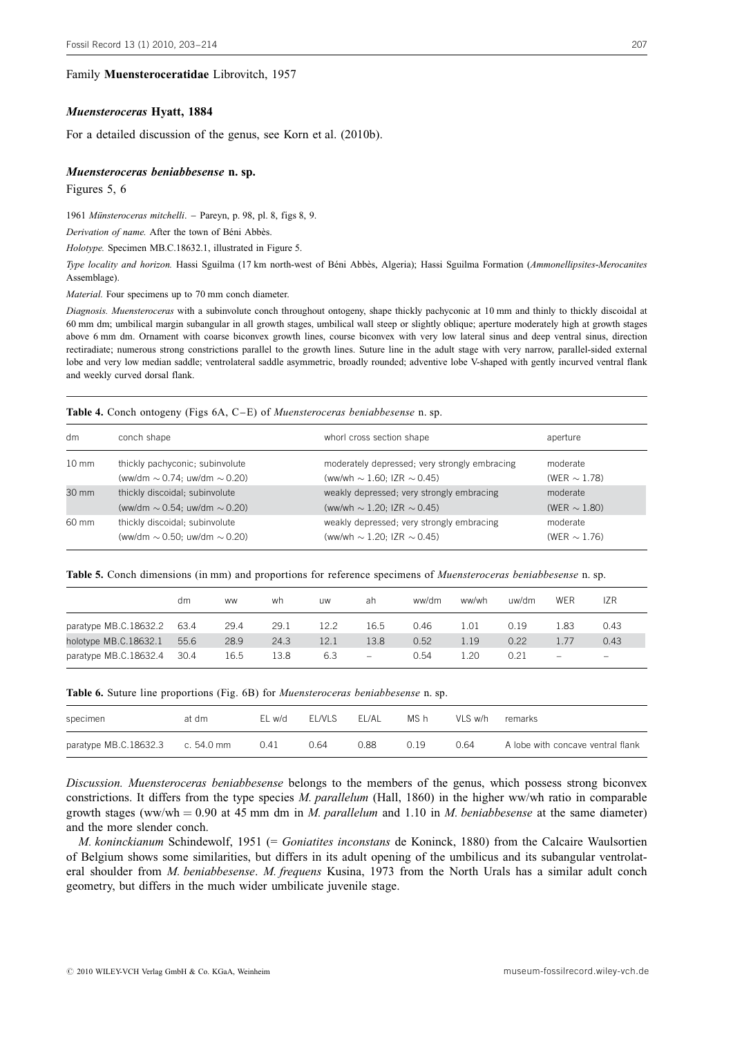#### Family Muensteroceratidae Librovitch, 1957

#### Muensteroceras Hyatt, 1884

For a detailed discussion of the genus, see Korn et al. (2010b).

#### Muensteroceras beniabbesense n. sp.

Figures 5, 6

1961 Münsteroceras mitchelli. - Pareyn, p. 98, pl. 8, figs 8, 9.

Derivation of name. After the town of Béni Abbès.

Holotype. Specimen MB.C.18632.1, illustrated in Figure 5.

Type locality and horizon. Hassi Sguilma (17 km north-west of Béni Abbès, Algeria); Hassi Sguilma Formation (Ammonellipsites-Merocanites Assemblage).

Material. Four specimens up to 70 mm conch diameter.

Diagnosis. Muensteroceras with a subinvolute conch throughout ontogeny, shape thickly pachyconic at 10 mm and thinly to thickly discoidal at 60 mm dm; umbilical margin subangular in all growth stages, umbilical wall steep or slightly oblique; aperture moderately high at growth stages above 6 mm dm. Ornament with coarse biconvex growth lines, course biconvex with very low lateral sinus and deep ventral sinus, direction rectiradiate; numerous strong constrictions parallel to the growth lines. Suture line in the adult stage with very narrow, parallel-sided external lobe and very low median saddle; ventrolateral saddle asymmetric, broadly rounded; adventive lobe V-shaped with gently incurved ventral flank and weekly curved dorsal flank.

#### Table 4. Conch ontogeny (Figs 6A, C–E) of Muensteroceras beniabbesense n. sp.

| dm              | conch shape                            | whorl cross section shape                     | aperture          |
|-----------------|----------------------------------------|-----------------------------------------------|-------------------|
| $10 \text{ mm}$ | thickly pachyconic; subinvolute        | moderately depressed; very strongly embracing | moderate          |
|                 | (ww/dm $\sim$ 0.74; uw/dm $\sim$ 0.20) | (ww/wh $\sim$ 1.60; IZR $\sim$ 0.45)          | (WER $\sim$ 1.78) |
| 30 mm           | thickly discoidal; subinvolute         | weakly depressed; very strongly embracing     | moderate          |
|                 | (ww/dm $\sim$ 0.54; uw/dm $\sim$ 0.20) | (ww/wh $\sim$ 1.20; IZR $\sim$ 0.45)          | (WER $\sim$ 1.80) |
| 60 mm           | thickly discoidal; subinvolute         | weakly depressed; very strongly embracing     | moderate          |
|                 | (ww/dm $\sim$ 0.50; uw/dm $\sim$ 0.20) | (ww/wh $\sim$ 1.20; IZR $\sim$ 0.45)          | (WER $\sim$ 1.76) |

#### Table 5. Conch dimensions (in mm) and proportions for reference specimens of *Muensteroceras beniabbesense* n. sp.

|                       | dm   | <b>WW</b> | wh   | <b>UW</b> | ah                       | ww/dm | ww/wh | uw/dm | WER  | IZR             |
|-----------------------|------|-----------|------|-----------|--------------------------|-------|-------|-------|------|-----------------|
| paratype MB.C.18632.2 | 63.4 | 29.4      | 29.1 | 12.2      | 16.5                     | 0.46  | 1.01  | 0.19  | l.83 | 0.43            |
| holotype MB.C.18632.1 | 55.6 | 28.9      | 24.3 | 12.1      | 13.8                     | 0.52  | 1.19  | 0.22  |      | 0.43            |
| paratype MB.C.18632.4 | 30.4 | 16.5      | 13.8 | 6.3       | $\overline{\phantom{0}}$ | 0.54  | 20    | 0.21  | -    | $\qquad \qquad$ |

Table 6. Suture line proportions (Fig. 6B) for Muensteroceras beniabbesense n. sp.

| specimen                         | at dm | EL w/d | EL/VLS | EL/AL | MS h | VLS w/h | remarks                           |
|----------------------------------|-------|--------|--------|-------|------|---------|-----------------------------------|
| paratype MB.C.18632.3 c. 54.0 mm |       | 0.41   | 0.64   | 0.88  | 0.19 | 0.64    | A lobe with concave ventral flank |

Discussion. Muensteroceras beniabbesense belongs to the members of the genus, which possess strong biconvex constrictions. It differs from the type species M. parallelum (Hall, 1860) in the higher ww/wh ratio in comparable growth stages (ww/wh  $= 0.90$  at 45 mm dm in M. parallelum and 1.10 in M. beniabbesense at the same diameter) and the more slender conch.

M. koninckianum Schindewolf, 1951 (= Goniatites inconstans de Koninck, 1880) from the Calcaire Waulsortien of Belgium shows some similarities, but differs in its adult opening of the umbilicus and its subangular ventrolateral shoulder from *M. beniabbesense. M. frequens Kusina*, 1973 from the North Urals has a similar adult conch geometry, but differs in the much wider umbilicate juvenile stage.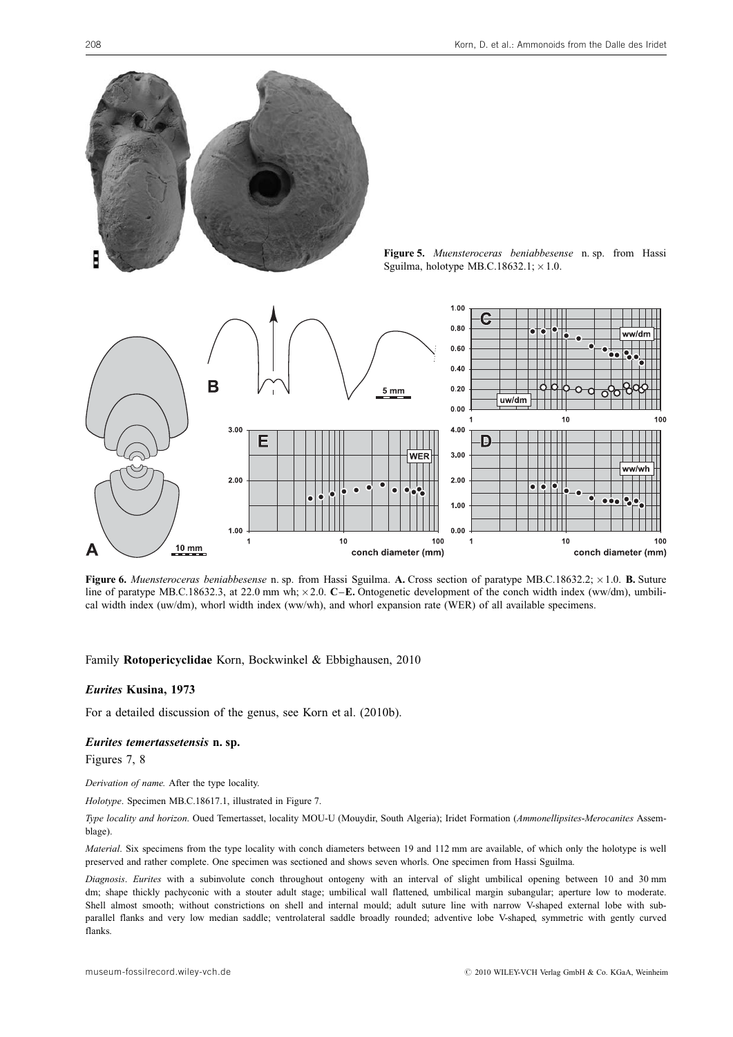

Figure 5. Muensteroceras beniabbesense n. sp. from Hassi Sguilma, holotype MB.C.18632.1;  $\times$  1.0.



Figure 6. Muensteroceras beniabbesense n. sp. from Hassi Sguilma. A. Cross section of paratype MB.C.18632.2; × 1.0. B. Suture line of paratype MB.C.18632.3, at 22.0 mm wh;  $\times$  2.0. C–E. Ontogenetic development of the conch width index (ww/dm), umbilical width index (uw/dm), whorl width index (ww/wh), and whorl expansion rate (WER) of all available specimens.

#### Family Rotopericyclidae Korn, Bockwinkel & Ebbighausen, 2010

#### Eurites Kusina, 1973

For a detailed discussion of the genus, see Korn et al. (2010b).

#### Eurites temertassetensis n. sp.

Figures 7, 8

Derivation of name. After the type locality.

Holotype. Specimen MB.C.18617.1, illustrated in Figure 7.

Type locality and horizon. Oued Temertasset, locality MOU-U (Mouydir, South Algeria); Iridet Formation (Ammonellipsites-Merocanites Assemblage).

Material. Six specimens from the type locality with conch diameters between 19 and 112 mm are available, of which only the holotype is well preserved and rather complete. One specimen was sectioned and shows seven whorls. One specimen from Hassi Sguilma.

Diagnosis. Eurites with a subinvolute conch throughout ontogeny with an interval of slight umbilical opening between 10 and 30 mm dm; shape thickly pachyconic with a stouter adult stage; umbilical wall flattened, umbilical margin subangular; aperture low to moderate. Shell almost smooth; without constrictions on shell and internal mould; adult suture line with narrow V-shaped external lobe with subparallel flanks and very low median saddle; ventrolateral saddle broadly rounded; adventive lobe V-shaped, symmetric with gently curved flanks.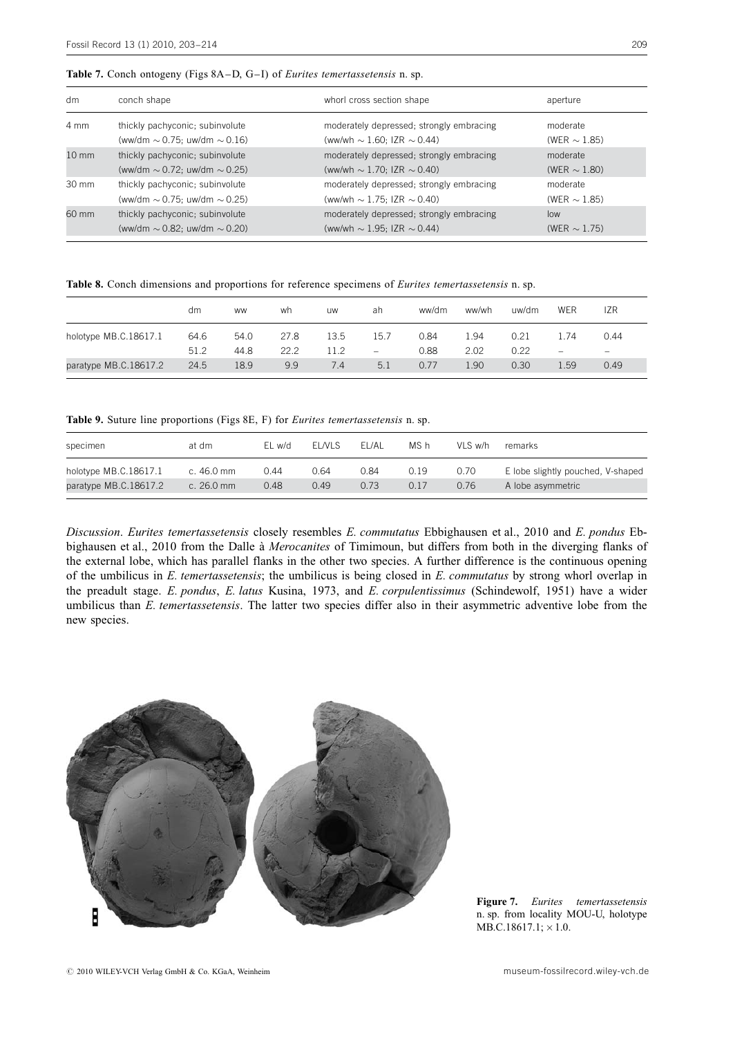| dm                | conch shape                            | whorl cross section shape                | aperture          |
|-------------------|----------------------------------------|------------------------------------------|-------------------|
| 4 mm              | thickly pachyconic; subinvolute        | moderately depressed; strongly embracing | moderate          |
|                   | (ww/dm $\sim$ 0.75; uw/dm $\sim$ 0.16) | (ww/wh $\sim$ 1.60; IZR $\sim$ 0.44)     | (WER $\sim$ 1.85) |
| $10 \, \text{mm}$ | thickly pachyconic; subinvolute        | moderately depressed; strongly embracing | moderate          |
|                   | (ww/dm $\sim$ 0.72; uw/dm $\sim$ 0.25) | (ww/wh $\sim$ 1.70; IZR $\sim$ 0.40)     | (WER $\sim$ 1.80) |
| $30 \text{ mm}$   | thickly pachyconic; subinvolute        | moderately depressed; strongly embracing | moderate          |
|                   | (ww/dm $\sim$ 0.75; uw/dm $\sim$ 0.25) | (ww/wh $\sim$ 1.75; IZR $\sim$ 0.40)     | (WER $\sim$ 1.85) |
| 60 mm             | thickly pachyconic; subinvolute        | moderately depressed; strongly embracing | low               |
|                   | (ww/dm $\sim$ 0.82; uw/dm $\sim$ 0.20) | (ww/wh $\sim$ 1.95; IZR $\sim$ 0.44)     | (WER $\sim$ 1.75) |

Table 8. Conch dimensions and proportions for reference specimens of Eurites temertassetensis n. sp.

|                       | dm           | <b>WW</b>    | wh           | <b>UW</b>    | ah                               | ww/dm        | ww/wh       | uw/dm        | <b>WER</b>                      | <b>IZR</b>                |
|-----------------------|--------------|--------------|--------------|--------------|----------------------------------|--------------|-------------|--------------|---------------------------------|---------------------------|
| holotype MB.C.18617.1 | 64.6<br>51.2 | 54.0<br>44.8 | 27.8<br>22.2 | 13.5<br>11.2 | 15.7<br>$\overline{\phantom{a}}$ | 0.84<br>0.88 | .94<br>2.02 | 0.21<br>0.22 | .74<br>$\overline{\phantom{m}}$ | 0.44<br>$\qquad \qquad -$ |
| paratype MB.C.18617.2 | 24.5         | 18.9         | 9.9          | 7.4          | 5.1                              | 0.77         | 1.90        | 0.30         | 1.59                            | 0.49                      |

Table 9. Suture line proportions (Figs 8E, F) for Eurites temertassetensis n. sp.

| specimen              | at dm                | EL w/d | EL NLS | EL/AL | MS h | VLS w/h | remarks                           |
|-----------------------|----------------------|--------|--------|-------|------|---------|-----------------------------------|
| holotype MB.C.18617.1 | c. 46.0 mm           | 0.44   | 0.64   | 0.84  | 0.19 | 0.70    | E lobe slightly pouched, V-shaped |
| paratype MB.C.18617.2 | c. $26.0 \text{ mm}$ | 0.48   | 0.49   | 0.73  | 0.17 | 0.76    | A lobe asymmetric                 |
|                       |                      |        |        |       |      |         |                                   |

Discussion. Eurites temertassetensis closely resembles E. commutatus Ebbighausen et al., 2010 and E. pondus Ebbighausen et al., 2010 from the Dalle à Merocanites of Timimoun, but differs from both in the diverging flanks of the external lobe, which has parallel flanks in the other two species. A further difference is the continuous opening of the umbilicus in  $E$ . temertassetensis; the umbilicus is being closed in  $E$ . commutatus by strong whorl overlap in the preadult stage. E. pondus, E. latus Kusina, 1973, and E. corpulentissimus (Schindewolf, 1951) have a wider umbilicus than E. temertassetensis. The latter two species differ also in their asymmetric adventive lobe from the new species.



Figure 7. Eurites temertassetensis n. sp. from locality MOU-U, holotype  $MB.C.18617.1; \times 1.0.$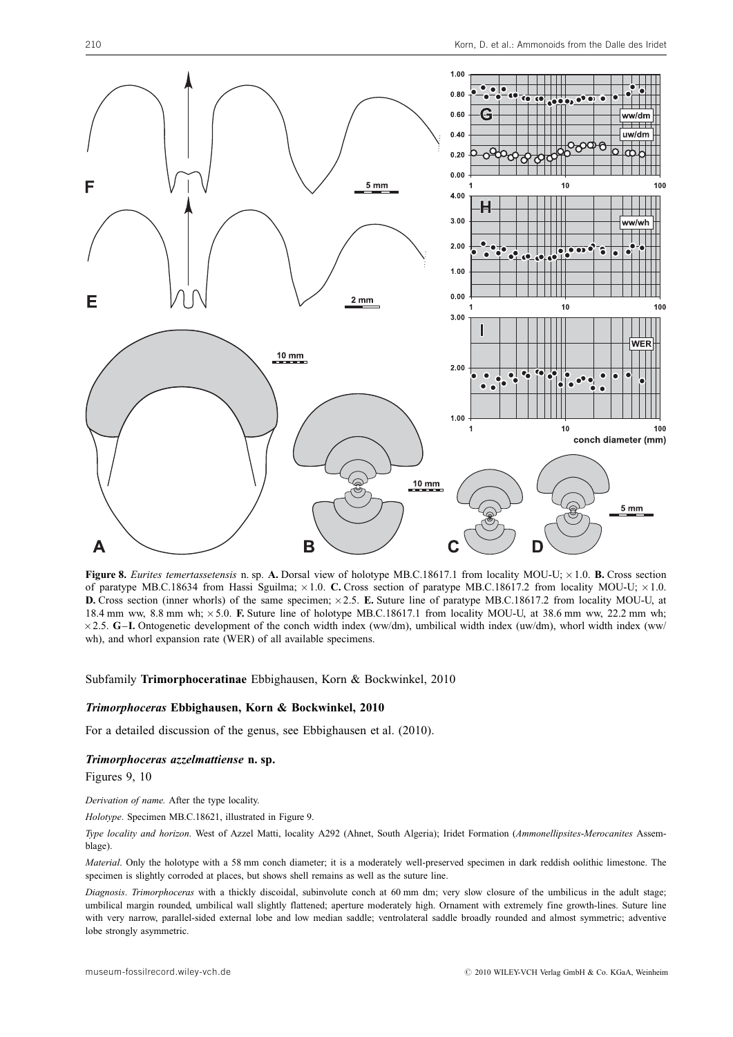

Figure 8. Eurites temertassetensis n. sp. A. Dorsal view of holotype MB.C.18617.1 from locality MOU-U;  $\times$  1.0. B. Cross section of paratype MB.C.18634 from Hassi Sguilma;  $\times 1.0$ . C. Cross section of paratype MB.C.18617.2 from locality MOU-U;  $\times 1.0$ . **D.** Cross section (inner whorls) of the same specimen;  $\times 2.5$ . E. Suture line of paratype MB.C.18617.2 from locality MOU-U, at 18.4 mm ww, 8.8 mm wh; 5.0. F. Suture line of holotype MB.C.18617.1 from locality MOU-U, at 38.6 mm ww, 22.2 mm wh; 2.5. G–I. Ontogenetic development of the conch width index (ww/dm), umbilical width index (uw/dm), whorl width index (ww/ wh), and whorl expansion rate (WER) of all available specimens.

#### Subfamily Trimorphoceratinae Ebbighausen, Korn & Bockwinkel, 2010

#### Trimorphoceras Ebbighausen, Korn & Bockwinkel, 2010

For a detailed discussion of the genus, see Ebbighausen et al. (2010).

#### Trimorphoceras azzelmattiense n. sp.

Figures 9, 10

Derivation of name. After the type locality.

Holotype. Specimen MB.C.18621, illustrated in Figure 9.

Type locality and horizon. West of Azzel Matti, locality A292 (Ahnet, South Algeria); Iridet Formation (Ammonellipsites-Merocanites Assemblage).

Material. Only the holotype with a 58 mm conch diameter; it is a moderately well-preserved specimen in dark reddish oolithic limestone. The specimen is slightly corroded at places, but shows shell remains as well as the suture line.

Diagnosis. Trimorphoceras with a thickly discoidal, subinvolute conch at 60 mm dm; very slow closure of the umbilicus in the adult stage; umbilical margin rounded, umbilical wall slightly flattened; aperture moderately high. Ornament with extremely fine growth-lines. Suture line with very narrow, parallel-sided external lobe and low median saddle; ventrolateral saddle broadly rounded and almost symmetric; adventive lobe strongly asymmetric.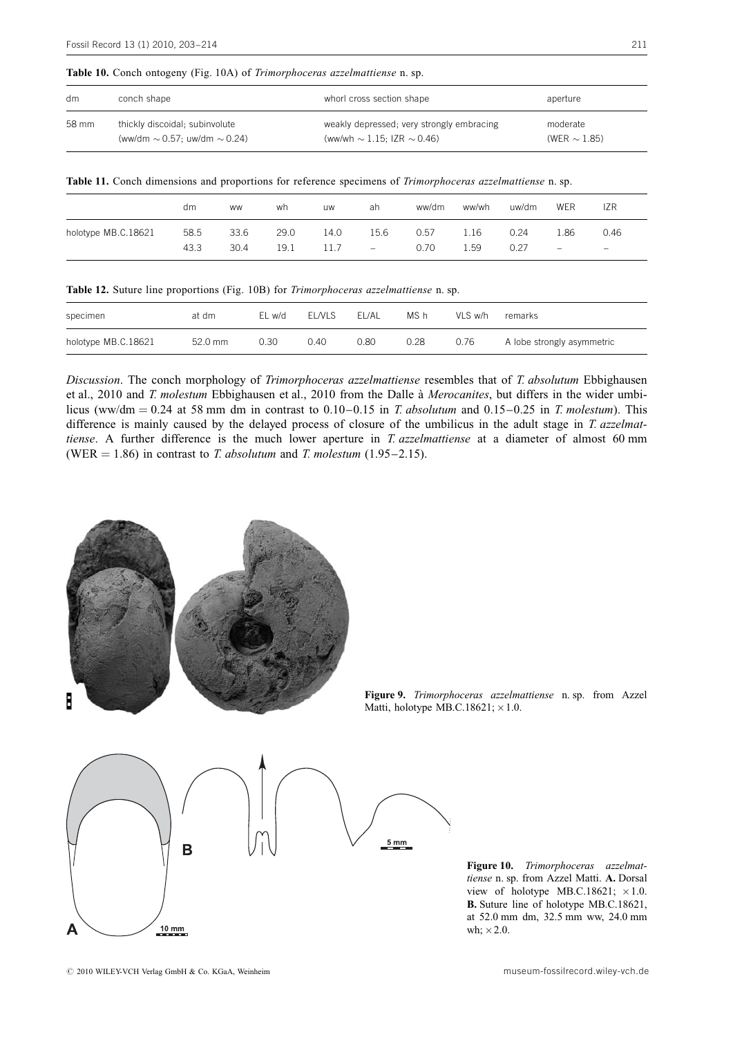|  |  |  |  |  | Table 10. Conch ontogeny (Fig. 10A) of Trimorphoceras azzelmattiense n. sp. |  |  |
|--|--|--|--|--|-----------------------------------------------------------------------------|--|--|
|--|--|--|--|--|-----------------------------------------------------------------------------|--|--|

| dm    | conch shape                            | whorl cross section shape                 | aperture          |
|-------|----------------------------------------|-------------------------------------------|-------------------|
| 58 mm | thickly discoidal; subinvolute         | weakly depressed; very strongly embracing | moderate          |
|       | (ww/dm $\sim$ 0.57; uw/dm $\sim$ 0.24) | (ww/wh $\sim$ 1.15; IZR $\sim$ 0.46)      | (WER $\sim$ 1.85) |

|  |  |  |  |  |  |  | Table 11. Conch dimensions and proportions for reference specimens of Trimorphoceras azzelmattiense n. sp. |  |
|--|--|--|--|--|--|--|------------------------------------------------------------------------------------------------------------|--|
|--|--|--|--|--|--|--|------------------------------------------------------------------------------------------------------------|--|

|                     | dm   | <b>WW</b> | wh   | <b>UW</b> | ah   | ww/dm | ww/wh | uw/dm | WER                      | IZR                      |
|---------------------|------|-----------|------|-----------|------|-------|-------|-------|--------------------------|--------------------------|
| holotype MB.C.18621 | 58.5 | 33.6      | 29.0 | 14.0      | 15.6 | 0.57  | 1.16  | 0.24  | .86ء                     | 0.46                     |
|                     | 43.3 | 30.4      | 19.1 | 11.7      | $-$  | 0.70  | 59ء   | 0.27  | $\overline{\phantom{m}}$ | $\overline{\phantom{m}}$ |

Table 12. Suture line proportions (Fig. 10B) for Trimorphoceras azzelmattiense n. sp.

| specimen            | at dm   | EL w/d | <b>ELNLS</b> | EL/AL | MS h | VLS w/h | remarks                    |
|---------------------|---------|--------|--------------|-------|------|---------|----------------------------|
| holotype MB.C.18621 | 52.0 mm | 0.30   | 0.40         | 0.80  | 0.28 | 0.76    | A lobe strongly asymmetric |

Discussion. The conch morphology of Trimorphoceras azzelmattiense resembles that of T. absolutum Ebbighausen et al., 2010 and T. molestum Ebbighausen et al., 2010 from the Dalle à Merocanites, but differs in the wider umbilicus (ww/dm = 0.24 at 58 mm dm in contrast to 0.10–0.15 in T. absolutum and 0.15–0.25 in T. molestum). This difference is mainly caused by the delayed process of closure of the umbilicus in the adult stage in T. azzelmattiense. A further difference is the much lower aperture in T. azzelmattiense at a diameter of almost 60 mm (WER = 1.86) in contrast to T. absolutum and T. molestum (1.95–2.15).



Figure 9. Trimorphoceras azzelmattiense n. sp. from Azzel Matti, holotype MB.C.18621;  $\times 1.0$ .

Figure 10. Trimorphoceras azzelmattiense n. sp. from Azzel Matti. A. Dorsal view of holotype MB.C.18621;  $\times 1.0$ . B. Suture line of holotype MB.C.18621, at 52.0 mm dm, 32.5 mm ww, 24.0 mm wh;  $\times$  2.0.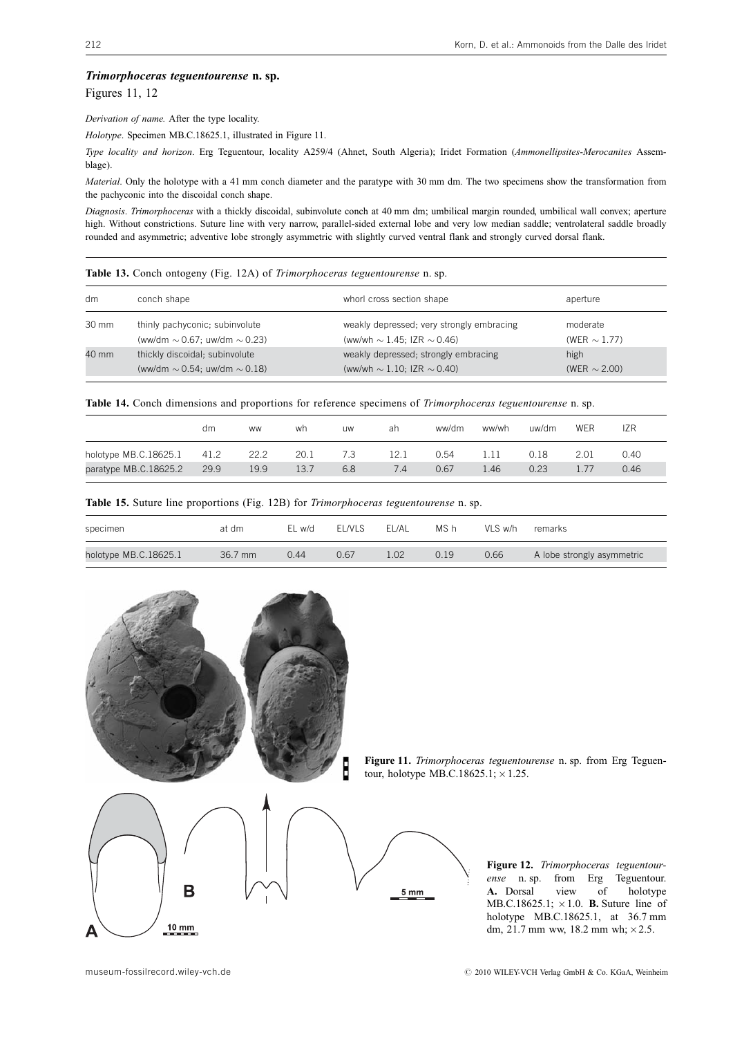#### Trimorphoceras teguentourense n. sp.

Figures 11, 12

Derivation of name. After the type locality.

Holotype. Specimen MB.C.18625.1, illustrated in Figure 11.

Type locality and horizon. Erg Teguentour, locality A259/4 (Ahnet, South Algeria); Iridet Formation (Ammonellipsites-Merocanites Assemblage).

Material. Only the holotype with a 41 mm conch diameter and the paratype with 30 mm dm. The two specimens show the transformation from the pachyconic into the discoidal conch shape.

Diagnosis. Trimorphoceras with a thickly discoidal, subinvolute conch at 40 mm dm; umbilical margin rounded, umbilical wall convex; aperture high. Without constrictions. Suture line with very narrow, parallel-sided external lobe and very low median saddle; ventrolateral saddle broadly rounded and asymmetric; adventive lobe strongly asymmetric with slightly curved ventral flank and strongly curved dorsal flank.

|  |  |  |  |  |  | Table 13. Conch ontogeny (Fig. 12A) of Trimorphoceras teguentourense n. sp. |  |  |  |
|--|--|--|--|--|--|-----------------------------------------------------------------------------|--|--|--|
|--|--|--|--|--|--|-----------------------------------------------------------------------------|--|--|--|

| dm    | conch shape                            | whorl cross section shape                 | aperture          |
|-------|----------------------------------------|-------------------------------------------|-------------------|
| 30 mm | thinly pachyconic; subinvolute         | weakly depressed; very strongly embracing | moderate          |
|       | (ww/dm $\sim$ 0.67; uw/dm $\sim$ 0.23) | (ww/wh $\sim$ 1.45; IZR $\sim$ 0.46)      | (WER $\sim$ 1.77) |
| 40 mm | thickly discoidal; subinvolute         | weakly depressed; strongly embracing      | high              |
|       | (ww/dm $\sim$ 0.54; uw/dm $\sim$ 0.18) | (ww/wh $\sim$ 1.10; IZR $\sim$ 0.40)      | (WER $\sim$ 2.00) |

Table 14. Conch dimensions and proportions for reference specimens of Trimorphoceras teguentourense n. sp.

|                       | dm   | <b>WW</b> | wh   | uw  | ah   | ww/dm | ww/wh | uw/dm | WER  | IZR  |
|-----------------------|------|-----------|------|-----|------|-------|-------|-------|------|------|
| holotype MB.C.18625.1 | 41.2 | 22.2      | 20.1 | 7.3 | 12.1 | 0.54  | 1.11  | 0.18  | 2.01 | 0.40 |
| paratype MB.C.18625.2 | 29.9 | 19.9      | 13.7 | 6.8 | 7.4  | 0.67  | 1.46  | 0.23  |      | 0.46 |

Table 15. Suture line proportions (Fig. 12B) for Trimorphoceras teguentourense n. sp.

| specimen              | at dm   | EL w/d | <b>FL/VLS</b> | FL/AL | MS h | VLS w/h | remarks                    |
|-----------------------|---------|--------|---------------|-------|------|---------|----------------------------|
|                       |         |        |               |       |      |         |                            |
| holotype MB.C.18625.1 | 36.7 mm | 0.44   | 0.67          | 1.02  | 0.19 | 0.66    | A lobe strongly asymmetric |



Figure 11. Trimorphoceras teguentourense n. sp. from Erg Teguentour, holotype MB.C.18625.1;  $\times$  1.25.

Figure 12. Trimorphoceras teguentourense n. sp. from Erg Teguentour. A. Dorsal view of holotype MB.C.18625.1;  $\times$  1.0. **B.** Suture line of holotype MB.C.18625.1, at 36.7 mm dm, 21.7 mm ww, 18.2 mm wh;  $\times 2.5$ .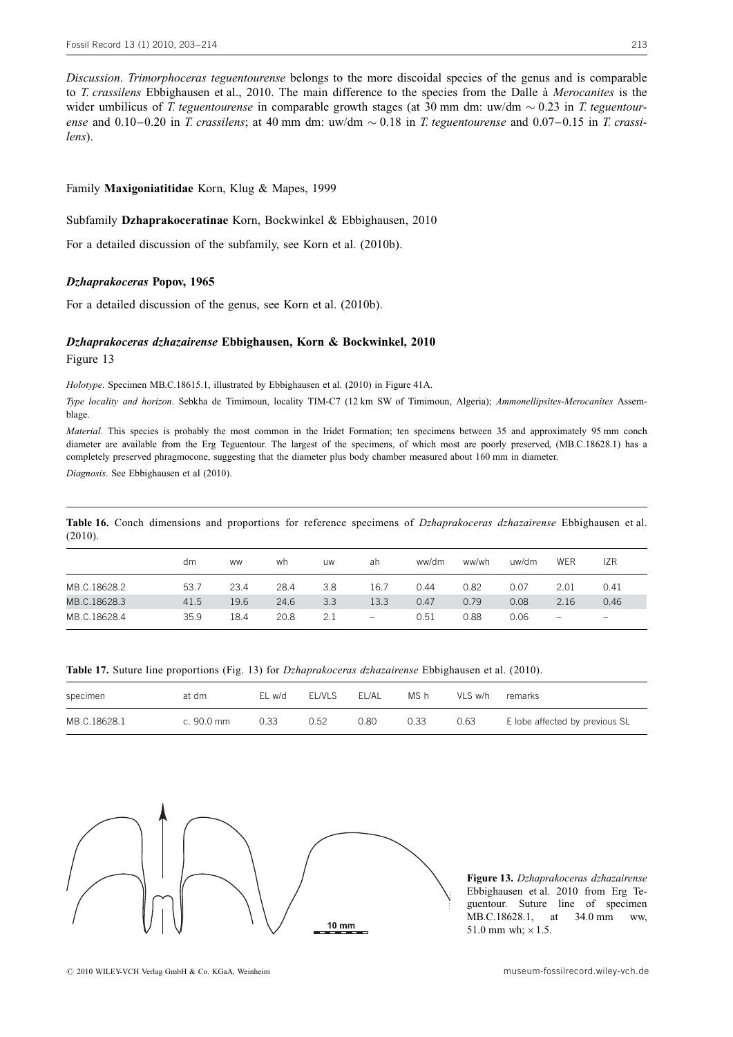Discussion. Trimorphoceras teguentourense belongs to the more discoidal species of the genus and is comparable to *T. crassilens* Ebbighausen et al., 2010. The main difference to the species from the Dalle à *Merocanites* is the wider umbilicus of T. teguentourense in comparable growth stages (at 30 mm dm: uw/dm  $\sim 0.23$  in T. teguentourense and 0.10–0.20 in T. crassilens; at 40 mm dm: uw/dm  $\sim$  0.18 in T. teguentourense and 0.07–0.15 in T. crassilens).

#### Family Maxigoniatitidae Korn, Klug & Mapes, 1999

#### Subfamily Dzhaprakoceratinae Korn, Bockwinkel & Ebbighausen, 2010

For a detailed discussion of the subfamily, see Korn et al. (2010b).

#### Dzhaprakoceras Popov, 1965

For a detailed discussion of the genus, see Korn et al. (2010b).

#### Dzhaprakoceras dzhazairense Ebbighausen, Korn & Bockwinkel, 2010

Figure 13

Holotype. Specimen MB.C.18615.1, illustrated by Ebbighausen et al. (2010) in Figure 41A.

Type locality and horizon. Sebkha de Timimoun, locality TIM-C7 (12 km SW of Timimoun, Algeria); Ammonellipsites-Merocanites Assemblage.

Material. This species is probably the most common in the Iridet Formation; ten specimens between 35 and approximately 95 mm conch diameter are available from the Erg Teguentour. The largest of the specimens, of which most are poorly preserved, (MB.C.18628.1) has a completely preserved phragmocone, suggesting that the diameter plus body chamber measured about 160 mm in diameter.

Diagnosis. See Ebbighausen et al (2010).

Table 16. Conch dimensions and proportions for reference specimens of *Dzhaprakoceras dzhazairense* Ebbighausen et al. (2010).

|              | dm   | <b>WW</b> | wh   | <b>UW</b> | ah                       | ww/dm | ww/wh | uw/dm | WER                      | <b>IZR</b>               |
|--------------|------|-----------|------|-----------|--------------------------|-------|-------|-------|--------------------------|--------------------------|
| MB.C.18628.2 | 53.7 | 23.4      | 28.4 | 3.8       | 16.7                     | 0.44  | 0.82  | 0.07  | 2.01                     | 0.41                     |
| MB.C.18628.3 | 41.5 | 19.6      | 24.6 | 3.3       | 13.3                     | 0.47  | 0.79  | 0.08  | 2.16                     | 0.46                     |
| MB.C.18628.4 | 35.9 | 18.4      | 20.8 | 2.1       | $\overline{\phantom{m}}$ | 0.51  | 0.88  | 0.06  | $\overline{\phantom{0}}$ | $\overline{\phantom{0}}$ |

| Table 17. Suture line proportions (Fig. 13) for <i>Dzhaprakoceras dzhazairense</i> Ebbighausen et al. (2010). |  |  |  |  |  |  |
|---------------------------------------------------------------------------------------------------------------|--|--|--|--|--|--|
|---------------------------------------------------------------------------------------------------------------|--|--|--|--|--|--|

| specimen     | at dm                | EL w/d | <b>EL/VLS</b> | EL/AL | MS h | VLS w/h | remarks                        |
|--------------|----------------------|--------|---------------|-------|------|---------|--------------------------------|
| MB.C.18628.1 | c. $90.0 \text{ mm}$ | 0.33   | 0.52          | 0.80  | ว.33 | 0.63    | E lobe affected by previous SL |



Figure 13. Dzhaprakoceras dzhazairense Ebbighausen et al. 2010 from Erg Teguentour. Suture line of specimen MB.C.18628.1, at 34.0 mm ww, 51.0 mm wh;  $\times$  1.5.